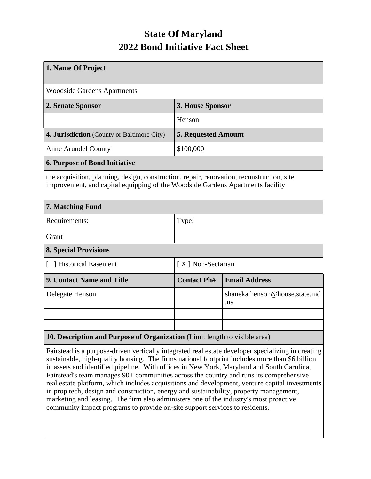## **State Of Maryland 2022 Bond Initiative Fact Sheet**

| 1. Name Of Project                                                                                                                                                          |                            |                                      |  |  |  |
|-----------------------------------------------------------------------------------------------------------------------------------------------------------------------------|----------------------------|--------------------------------------|--|--|--|
| <b>Woodside Gardens Apartments</b>                                                                                                                                          |                            |                                      |  |  |  |
| 2. Senate Sponsor                                                                                                                                                           | 3. House Sponsor           |                                      |  |  |  |
|                                                                                                                                                                             | Henson                     |                                      |  |  |  |
| 4. Jurisdiction (County or Baltimore City)                                                                                                                                  | <b>5. Requested Amount</b> |                                      |  |  |  |
| <b>Anne Arundel County</b>                                                                                                                                                  | \$100,000                  |                                      |  |  |  |
| <b>6. Purpose of Bond Initiative</b>                                                                                                                                        |                            |                                      |  |  |  |
| the acquisition, planning, design, construction, repair, renovation, reconstruction, site<br>improvement, and capital equipping of the Woodside Gardens Apartments facility |                            |                                      |  |  |  |
| 7. Matching Fund                                                                                                                                                            |                            |                                      |  |  |  |
| Requirements:                                                                                                                                                               | Type:                      |                                      |  |  |  |
| Grant                                                                                                                                                                       |                            |                                      |  |  |  |
| <b>8. Special Provisions</b>                                                                                                                                                |                            |                                      |  |  |  |
| [ ] Historical Easement                                                                                                                                                     | [X] Non-Sectarian          |                                      |  |  |  |
| 9. Contact Name and Title                                                                                                                                                   | <b>Contact Ph#</b>         | <b>Email Address</b>                 |  |  |  |
| Delegate Henson                                                                                                                                                             |                            | shaneka.henson@house.state.md<br>.us |  |  |  |
|                                                                                                                                                                             |                            |                                      |  |  |  |
|                                                                                                                                                                             |                            |                                      |  |  |  |
| 10. Description and Purpose of Organization (Limit length to visible area)                                                                                                  |                            |                                      |  |  |  |

Fairstead is a purpose-driven vertically integrated real estate developer specializing in creating sustainable, high-quality housing. The firms national footprint includes more than \$6 billion in assets and identified pipeline. With offices in New York, Maryland and South Carolina, Fairstead's team manages 90+ communities across the country and runs its comprehensive real estate platform, which includes acquisitions and development, venture capital investments in prop tech, design and construction, energy and sustainability, property management, marketing and leasing. The firm also administers one of the industry's most proactive community impact programs to provide on-site support services to residents.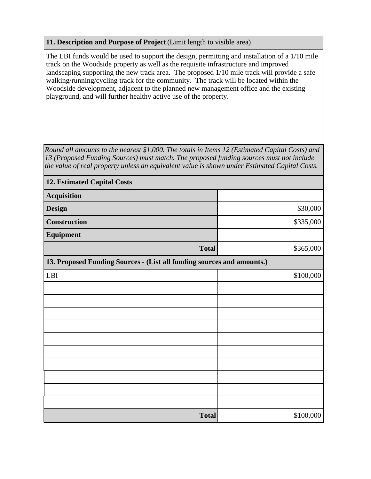## **11. Description and Purpose of Project** (Limit length to visible area)

The LBI funds would be used to support the design, permitting and installation of a 1/10 mile track on the Woodside property as well as the requisite infrastructure and improved landscaping supporting the new track area. The proposed 1/10 mile track will provide a safe walking/running/cycling track for the community. The track will be located within the Woodside development, adjacent to the planned new management office and the existing playground, and will further healthy active use of the property.

*Round all amounts to the nearest \$1,000. The totals in Items 12 (Estimated Capital Costs) and 13 (Proposed Funding Sources) must match. The proposed funding sources must not include the value of real property unless an equivalent value is shown under Estimated Capital Costs.*

| 12. Estimated Capital Costs                                            |           |  |  |  |
|------------------------------------------------------------------------|-----------|--|--|--|
| <b>Acquisition</b>                                                     |           |  |  |  |
| <b>Design</b>                                                          | \$30,000  |  |  |  |
| Construction                                                           | \$335,000 |  |  |  |
| Equipment                                                              |           |  |  |  |
| <b>Total</b>                                                           | \$365,000 |  |  |  |
| 13. Proposed Funding Sources - (List all funding sources and amounts.) |           |  |  |  |
| LBI                                                                    | \$100,000 |  |  |  |
|                                                                        |           |  |  |  |
|                                                                        |           |  |  |  |
|                                                                        |           |  |  |  |
|                                                                        |           |  |  |  |
|                                                                        |           |  |  |  |
|                                                                        |           |  |  |  |
|                                                                        |           |  |  |  |
|                                                                        |           |  |  |  |
|                                                                        |           |  |  |  |
|                                                                        |           |  |  |  |
| <b>Total</b>                                                           | \$100,000 |  |  |  |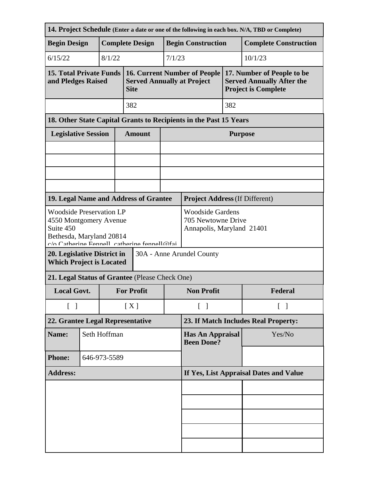| 14. Project Schedule (Enter a date or one of the following in each box. N/A, TBD or Complete)                                                            |              |                        |                                        |                                                                                         |                                                        |                                                                   |         |                                                                                              |  |
|----------------------------------------------------------------------------------------------------------------------------------------------------------|--------------|------------------------|----------------------------------------|-----------------------------------------------------------------------------------------|--------------------------------------------------------|-------------------------------------------------------------------|---------|----------------------------------------------------------------------------------------------|--|
| <b>Begin Design</b>                                                                                                                                      |              | <b>Complete Design</b> |                                        |                                                                                         | <b>Begin Construction</b>                              |                                                                   |         | <b>Complete Construction</b>                                                                 |  |
| 6/15/22                                                                                                                                                  |              | 8/1/22                 | 7/1/23                                 |                                                                                         |                                                        |                                                                   |         | 10/1/23                                                                                      |  |
| <b>15. Total Private Funds</b><br>and Pledges Raised                                                                                                     |              |                        |                                        | <b>16. Current Number of People</b><br><b>Served Annually at Project</b><br><b>Site</b> |                                                        |                                                                   |         | 17. Number of People to be<br><b>Served Annually After the</b><br><b>Project is Complete</b> |  |
|                                                                                                                                                          |              |                        |                                        | 382                                                                                     |                                                        |                                                                   | 382     |                                                                                              |  |
|                                                                                                                                                          |              |                        |                                        |                                                                                         |                                                        | 18. Other State Capital Grants to Recipients in the Past 15 Years |         |                                                                                              |  |
| <b>Legislative Session</b>                                                                                                                               |              |                        | <b>Amount</b>                          |                                                                                         | <b>Purpose</b>                                         |                                                                   |         |                                                                                              |  |
|                                                                                                                                                          |              |                        |                                        |                                                                                         |                                                        |                                                                   |         |                                                                                              |  |
|                                                                                                                                                          |              |                        |                                        |                                                                                         |                                                        |                                                                   |         |                                                                                              |  |
|                                                                                                                                                          |              |                        |                                        |                                                                                         |                                                        |                                                                   |         |                                                                                              |  |
| 19. Legal Name and Address of Grantee                                                                                                                    |              |                        |                                        |                                                                                         |                                                        | <b>Project Address (If Different)</b>                             |         |                                                                                              |  |
| <b>Woodside Preservation LP</b><br>4550 Montgomery Avenue<br>Suite 450<br>Bethesda, Maryland 20814<br>$c/\alpha$ Catherine Fennell catherine fennell@fai |              |                        |                                        | <b>Woodside Gardens</b><br>705 Newtowne Drive<br>Annapolis, Maryland 21401              |                                                        |                                                                   |         |                                                                                              |  |
| 20. Legislative District in<br><b>Which Project is Located</b>                                                                                           |              |                        |                                        | 30A - Anne Arundel County                                                               |                                                        |                                                                   |         |                                                                                              |  |
| 21. Legal Status of Grantee (Please Check One)                                                                                                           |              |                        |                                        |                                                                                         |                                                        |                                                                   |         |                                                                                              |  |
| <b>Local Govt.</b>                                                                                                                                       |              |                        | <b>For Profit</b>                      |                                                                                         | <b>Non Profit</b>                                      |                                                                   | Federal |                                                                                              |  |
| $\begin{bmatrix} 1 \end{bmatrix}$                                                                                                                        |              |                        | [X]                                    |                                                                                         | $\begin{bmatrix} 1 \end{bmatrix}$<br>$\lceil \ \rceil$ |                                                                   |         |                                                                                              |  |
| 22. Grantee Legal Representative                                                                                                                         |              |                        | 23. If Match Includes Real Property:   |                                                                                         |                                                        |                                                                   |         |                                                                                              |  |
| Name:                                                                                                                                                    | Seth Hoffman |                        |                                        |                                                                                         |                                                        | <b>Has An Appraisal</b><br><b>Been Done?</b>                      |         | Yes/No                                                                                       |  |
| <b>Phone:</b>                                                                                                                                            |              | 646-973-5589           |                                        |                                                                                         |                                                        |                                                                   |         |                                                                                              |  |
| <b>Address:</b>                                                                                                                                          |              |                        | If Yes, List Appraisal Dates and Value |                                                                                         |                                                        |                                                                   |         |                                                                                              |  |
|                                                                                                                                                          |              |                        |                                        |                                                                                         |                                                        |                                                                   |         |                                                                                              |  |
|                                                                                                                                                          |              |                        |                                        |                                                                                         |                                                        |                                                                   |         |                                                                                              |  |
|                                                                                                                                                          |              |                        |                                        |                                                                                         |                                                        |                                                                   |         |                                                                                              |  |
|                                                                                                                                                          |              |                        |                                        |                                                                                         |                                                        |                                                                   |         |                                                                                              |  |
|                                                                                                                                                          |              |                        |                                        |                                                                                         |                                                        |                                                                   |         |                                                                                              |  |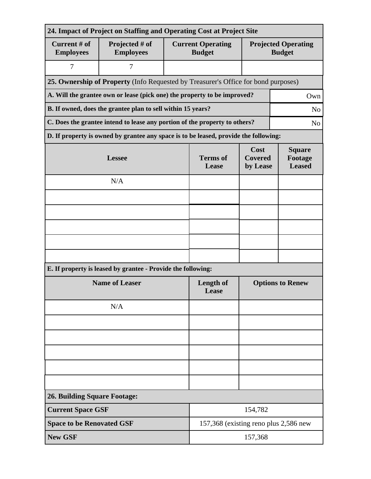| 24. Impact of Project on Staffing and Operating Cost at Project Site                         |                                                                                      |                          |                                           |                                             |  |  |  |
|----------------------------------------------------------------------------------------------|--------------------------------------------------------------------------------------|--------------------------|-------------------------------------------|---------------------------------------------|--|--|--|
| Current # of<br><b>Employees</b>                                                             | Projected # of<br><b>Employees</b>                                                   |                          | <b>Current Operating</b><br><b>Budget</b> | <b>Projected Operating</b><br><b>Budget</b> |  |  |  |
| $\overline{7}$                                                                               | 7                                                                                    |                          |                                           |                                             |  |  |  |
|                                                                                              | 25. Ownership of Property (Info Requested by Treasurer's Office for bond purposes)   |                          |                                           |                                             |  |  |  |
| A. Will the grantee own or lease (pick one) the property to be improved?<br>Own              |                                                                                      |                          |                                           |                                             |  |  |  |
| B. If owned, does the grantee plan to sell within 15 years?<br>N <sub>o</sub>                |                                                                                      |                          |                                           |                                             |  |  |  |
| C. Does the grantee intend to lease any portion of the property to others?<br>N <sub>o</sub> |                                                                                      |                          |                                           |                                             |  |  |  |
|                                                                                              | D. If property is owned by grantee any space is to be leased, provide the following: |                          |                                           |                                             |  |  |  |
|                                                                                              | <b>Lessee</b>                                                                        | <b>Terms of</b><br>Lease | Cost<br><b>Covered</b><br>by Lease        | <b>Square</b><br>Footage<br><b>Leased</b>   |  |  |  |
|                                                                                              | N/A                                                                                  |                          |                                           |                                             |  |  |  |
|                                                                                              |                                                                                      |                          |                                           |                                             |  |  |  |
|                                                                                              |                                                                                      |                          |                                           |                                             |  |  |  |
|                                                                                              |                                                                                      |                          |                                           |                                             |  |  |  |
|                                                                                              |                                                                                      |                          |                                           |                                             |  |  |  |
|                                                                                              |                                                                                      |                          |                                           |                                             |  |  |  |
|                                                                                              | E. If property is leased by grantee - Provide the following:                         |                          |                                           |                                             |  |  |  |
| <b>Name of Leaser</b>                                                                        |                                                                                      |                          | <b>Length of</b><br>Lease                 | <b>Options to Renew</b>                     |  |  |  |
|                                                                                              | N/A                                                                                  |                          |                                           |                                             |  |  |  |
|                                                                                              |                                                                                      |                          |                                           |                                             |  |  |  |
|                                                                                              |                                                                                      |                          |                                           |                                             |  |  |  |
|                                                                                              |                                                                                      |                          |                                           |                                             |  |  |  |
|                                                                                              |                                                                                      |                          |                                           |                                             |  |  |  |
|                                                                                              |                                                                                      |                          |                                           |                                             |  |  |  |
| <b>26. Building Square Footage:</b>                                                          |                                                                                      |                          |                                           |                                             |  |  |  |
|                                                                                              | <b>Current Space GSF</b><br>154,782                                                  |                          |                                           |                                             |  |  |  |
| <b>Space to be Renovated GSF</b>                                                             |                                                                                      |                          | 157,368 (existing reno plus 2,586 new     |                                             |  |  |  |
| <b>New GSF</b>                                                                               |                                                                                      |                          | 157,368                                   |                                             |  |  |  |